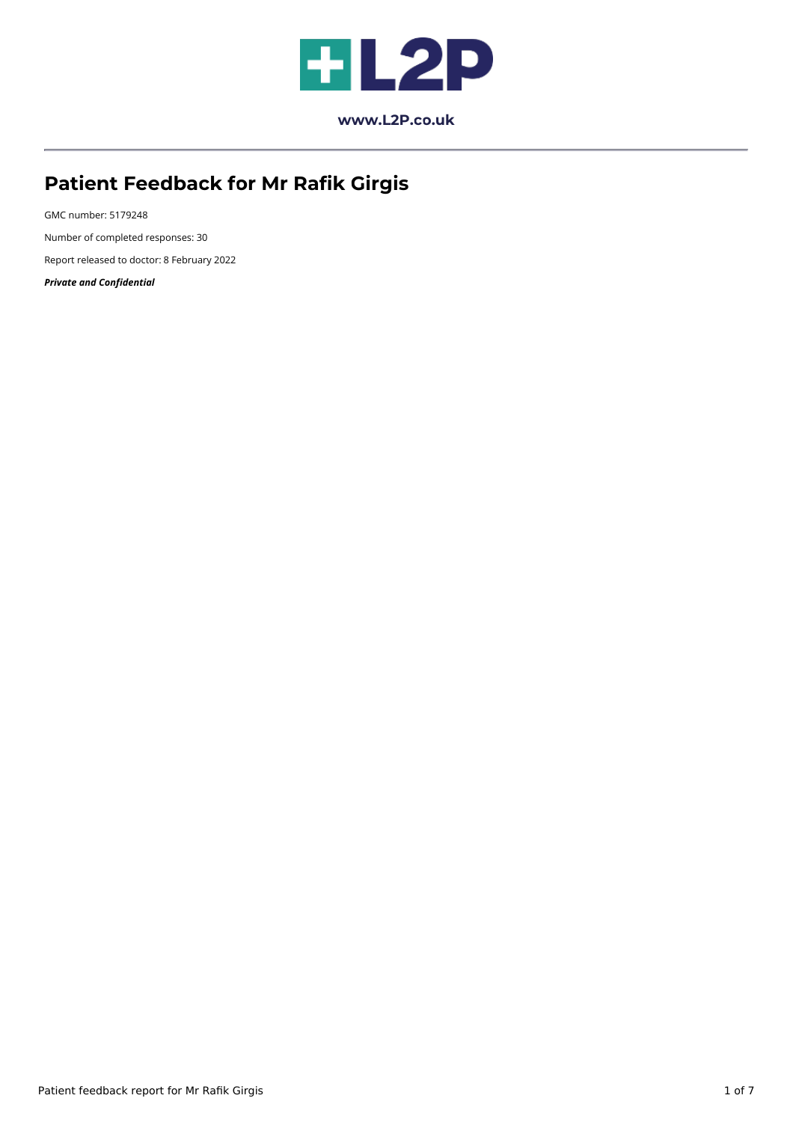

**[www.L2P.co.uk](https://www.l2p.co.uk/)**

# **Patient Feedback for Mr Rafik Girgis**

GMC number: 5179248 Number of completed responses: 30 Report released to doctor: 8 February 2022 *Private and Confidential*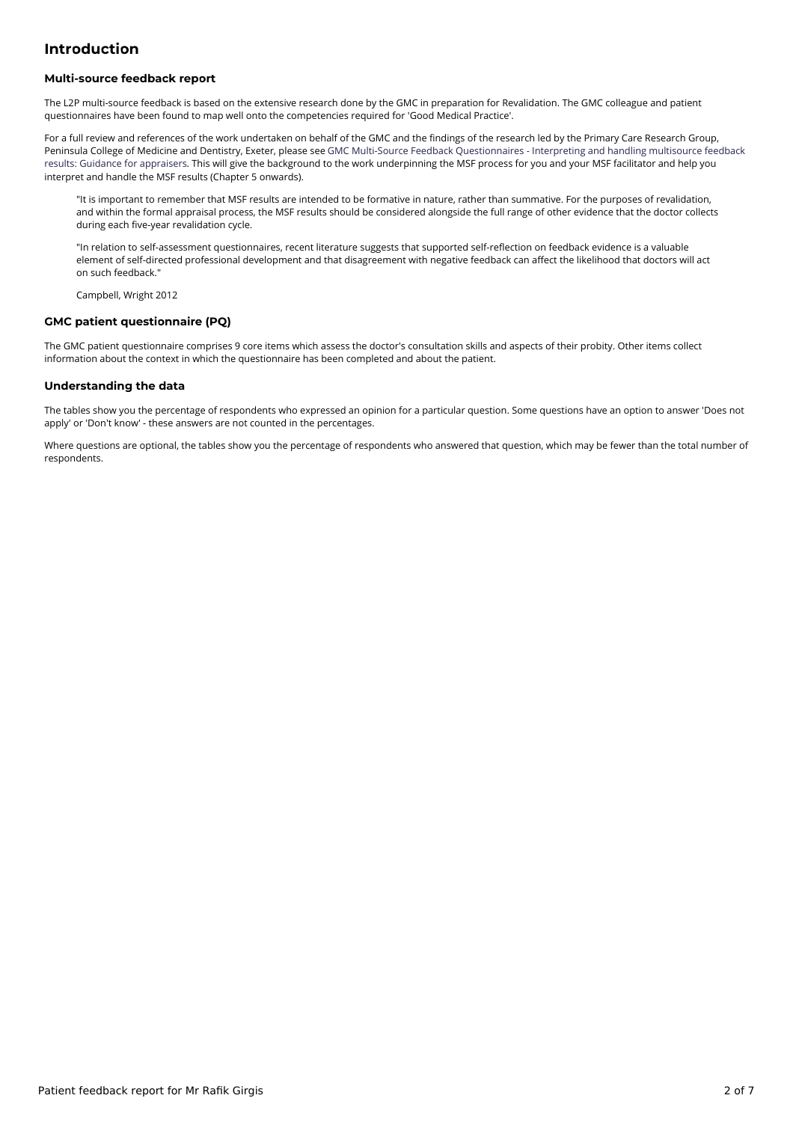## **Introduction**

#### **Multi-source feedback report**

The L2P multi-source feedback is based on the extensive research done by the GMC in preparation for Revalidation. The GMC colleague and patient questionnaires have been found to map well onto the competencies required for 'Good Medical Practice'.

For a full review and references of the work undertaken on behalf of the GMC and the findings of the research led by the Primary Care Research Group, Peninsula College of Medicine and Dentistry, Exeter, please see GMC Multi-Source Feedback [Questionnaires](https://www.gmc-uk.org/-/media/documents/guidance-for-appraisers---pms-45189197.pdf) - Interpreting and handling multisource feedback results: Guidance for appraisers. This will give the background to the work underpinning the MSF process for you and your MSF facilitator and help you interpret and handle the MSF results (Chapter 5 onwards).

"It is important to remember that MSF results are intended to be formative in nature, rather than summative. For the purposes of revalidation, and within the formal appraisal process, the MSF results should be considered alongside the full range of other evidence that the doctor collects during each five-year revalidation cycle.

"In relation to self-assessment questionnaires, recent literature suggests that supported self-reflection on feedback evidence is a valuable element of self-directed professional development and that disagreement with negative feedback can affect the likelihood that doctors will act on such feedback."

Campbell, Wright 2012

#### **GMC patient questionnaire (PQ)**

The GMC patient questionnaire comprises 9 core items which assess the doctor's consultation skills and aspects of their probity. Other items collect information about the context in which the questionnaire has been completed and about the patient.

#### **Understanding the data**

The tables show you the percentage of respondents who expressed an opinion for a particular question. Some questions have an option to answer 'Does not apply' or 'Don't know' - these answers are not counted in the percentages.

Where questions are optional, the tables show you the percentage of respondents who answered that question, which may be fewer than the total number of respondents.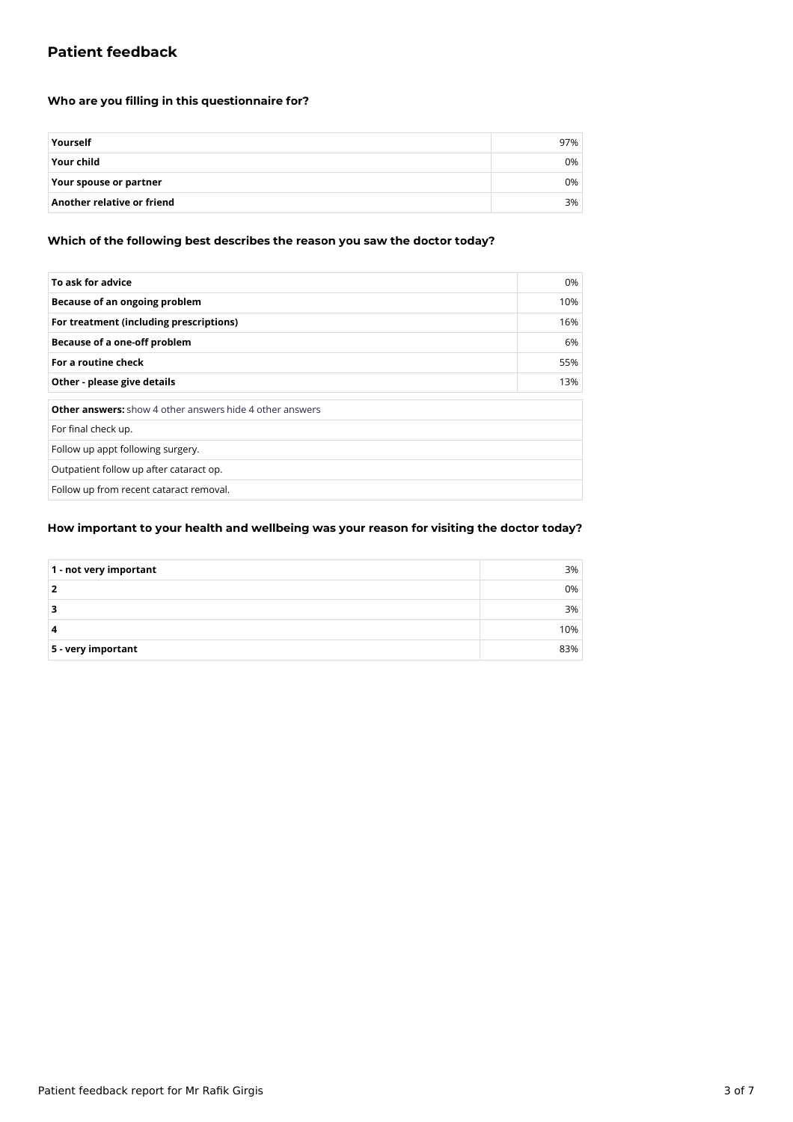# **Patient feedback**

## **Who are you filling in this questionnaire for?**

| Yourself                   | 97% |
|----------------------------|-----|
| <b>Your child</b>          | 0%  |
| Your spouse or partner     | 0%  |
| Another relative or friend | 3%  |

## **Which of the following best describes the reason you saw the doctor today?**

| To ask for advice                                               | 0%  |
|-----------------------------------------------------------------|-----|
| Because of an ongoing problem                                   | 10% |
| For treatment (including prescriptions)                         | 16% |
| Because of a one-off problem                                    | 6%  |
| For a routine check                                             | 55% |
| Other - please give details                                     | 13% |
| <b>Other answers:</b> show 4 other answers hide 4 other answers |     |
| For final check up.                                             |     |
| Follow up appt following surgery.                               |     |
| Outpatient follow up after cataract op.                         |     |
| Follow up from recent cataract removal.                         |     |

## **How important to your health and wellbeing was your reason for visiting the doctor today?**

| $\vert$ 1 - not very important | 3%  |
|--------------------------------|-----|
|                                | 0%  |
|                                | 3%  |
| 4                              | 10% |
| $5$ - very important           | 83% |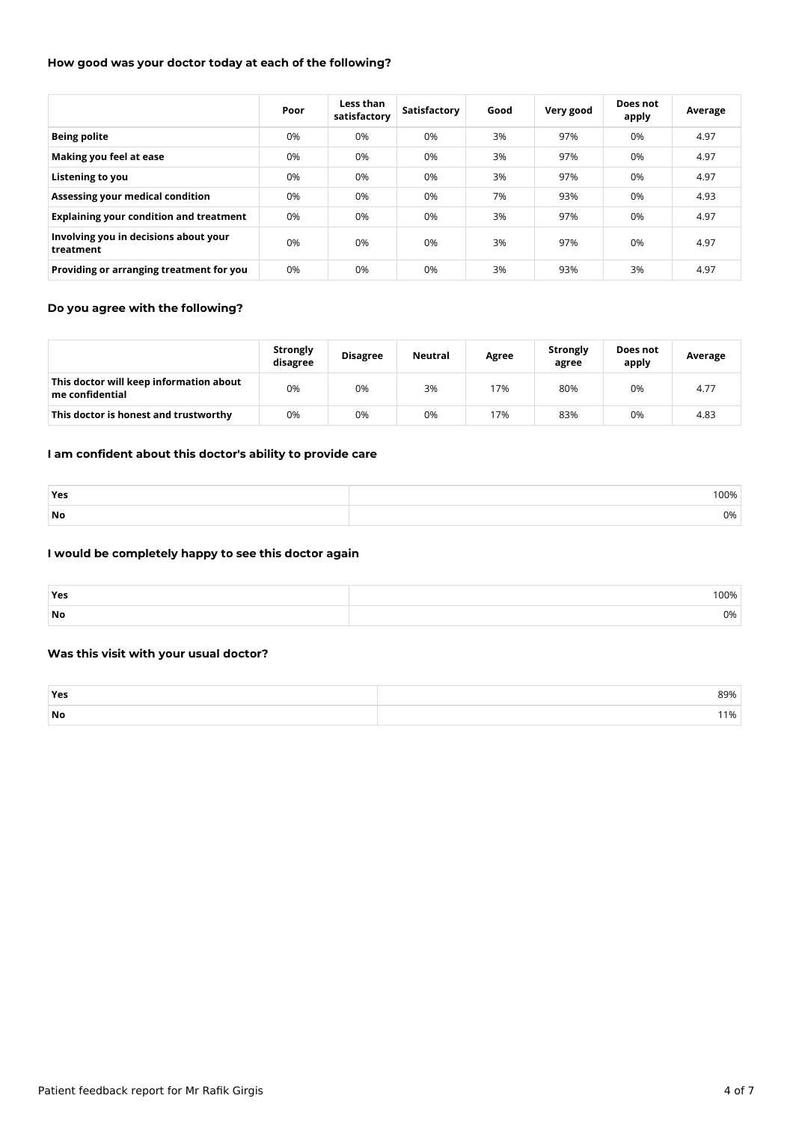## **How good was your doctor today at each of the following?**

|                                                    | Poor | Less than<br>satisfactory | Satisfactory | Good | Very good | Does not<br>apply | Average |
|----------------------------------------------------|------|---------------------------|--------------|------|-----------|-------------------|---------|
| <b>Being polite</b>                                | 0%   | 0%                        | 0%           | 3%   | 97%       | 0%                | 4.97    |
| Making you feel at ease                            | 0%   | 0%                        | 0%           | 3%   | 97%       | 0%                | 4.97    |
| Listening to you                                   | 0%   | 0%                        | 0%           | 3%   | 97%       | 0%                | 4.97    |
| Assessing your medical condition                   | 0%   | 0%                        | 0%           | 7%   | 93%       | 0%                | 4.93    |
| <b>Explaining your condition and treatment</b>     | 0%   | 0%                        | 0%           | 3%   | 97%       | 0%                | 4.97    |
| Involving you in decisions about your<br>treatment | 0%   | 0%                        | 0%           | 3%   | 97%       | 0%                | 4.97    |
| Providing or arranging treatment for you           | 0%   | 0%                        | 0%           | 3%   | 93%       | 3%                | 4.97    |

## **Do you agree with the following?**

|                                                            | <b>Strongly</b><br>disagree | <b>Disagree</b> | <b>Neutral</b> | Agree | Strongly<br>agree | Does not<br>apply | Average |
|------------------------------------------------------------|-----------------------------|-----------------|----------------|-------|-------------------|-------------------|---------|
| This doctor will keep information about<br>me confidential | 0%                          | 0%              | 3%             | 17%   | 80%               | 0%                | 4.77    |
| This doctor is honest and trustworthy                      | 0%                          | 0%              | 0%             | 17%   | 83%               | 0%                | 4.83    |

## **I am confident about this doctor's ability to provide care**

| Yes | 100% |
|-----|------|
| No  | 0%   |

#### **I would be completely happy to see this doctor again**

| Yes | 100% |
|-----|------|
| No  | 0%   |

## **Was this visit with your usual doctor?**

| Ye: | 39% |
|-----|-----|
| No  | 1%  |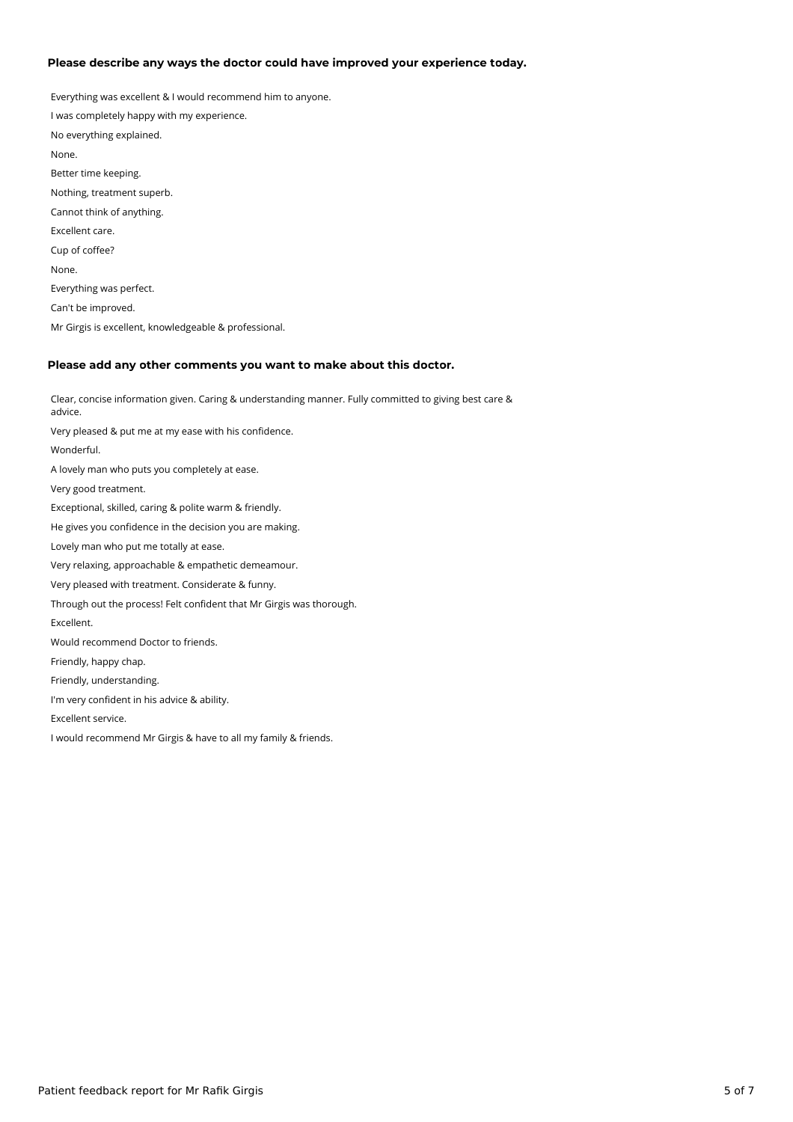#### **Please describe any ways the doctor could have improved your experience today.**

Everything was excellent & I would recommend him to anyone. I was completely happy with my experience. No everything explained. None. Better time keeping. Nothing, treatment superb. Cannot think of anything. Excellent care. Cup of coffee? None. Everything was perfect. Can't be improved. Mr Girgis is excellent, knowledgeable & professional.

#### **Please add any other comments you want to make about this doctor.**

Clear, concise information given. Caring & understanding manner. Fully committed to giving best care & advice. Very pleased & put me at my ease with his confidence. Wonderful. A lovely man who puts you completely at ease. Very good treatment. Exceptional, skilled, caring & polite warm & friendly. He gives you confidence in the decision you are making. Lovely man who put me totally at ease. Very relaxing, approachable & empathetic demeamour. Very pleased with treatment. Considerate & funny. Through out the process! Felt confident that Mr Girgis was thorough. Excellent. Would recommend Doctor to friends. Friendly, happy chap. Friendly, understanding. I'm very confident in his advice & ability. Excellent service. I would recommend Mr Girgis & have to all my family & friends.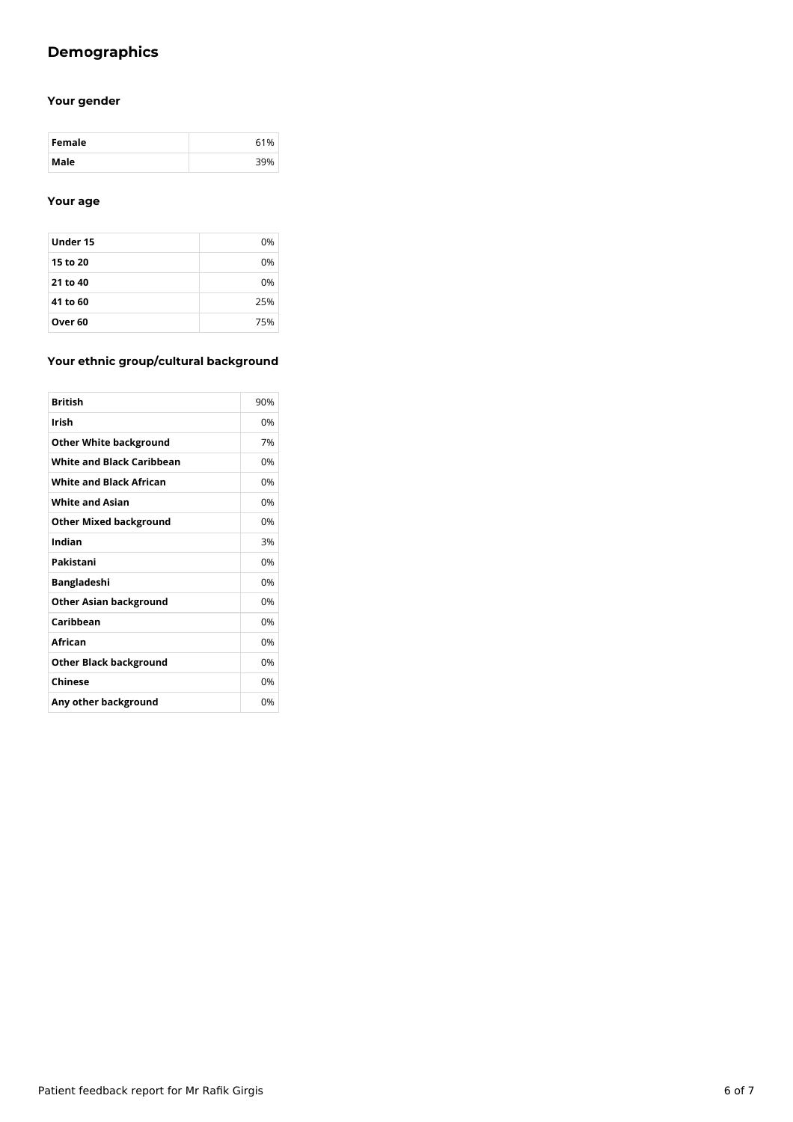# **Demographics**

## **Your gender**

| Female | 61%         |
|--------|-------------|
| Male   | <b>DO04</b> |

## **Your age**

| Under 15 | 0%  |
|----------|-----|
| 15 to 20 | 0%  |
| 21 to 40 | 0%  |
| 41 to 60 | 25% |
| Over 60  | 75% |

## **Your ethnic group/cultural background**

| <b>British</b>                   | 90% |
|----------------------------------|-----|
| Irish                            | 0%  |
| <b>Other White background</b>    | 7%  |
| <b>White and Black Caribbean</b> | 0%  |
| <b>White and Black African</b>   | 0%  |
| <b>White and Asian</b>           | 0%  |
| <b>Other Mixed background</b>    | 0%  |
| Indian                           | 3%  |
| Pakistani                        | 0%  |
| <b>Bangladeshi</b>               | 0%  |
| <b>Other Asian background</b>    | 0%  |
| Caribbean                        | 0%  |
| African                          | 0%  |
| <b>Other Black background</b>    | 0%  |
| Chinese                          | 0%  |
| Any other background             | 0%  |